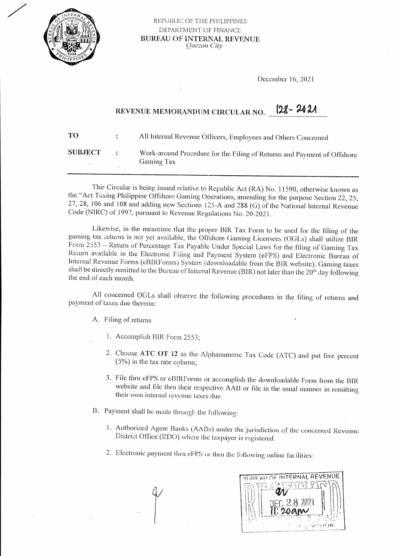

## REPUBLIC OF THE PHILIPPINES DEPARTMENT OF FINANCE **BUREAU OF INTERNAL REVENUE** Quezon City

December 16, 2021

## $128 - 2021$ REVENUE MEMORANDUM CIRCULAR NO.

| TО             | All Internal Revenue Officers, Employees and Others Concerned           |
|----------------|-------------------------------------------------------------------------|
| <b>SUBJECT</b> | Work-around Procedure for the Filing of Returns and Payment of Offshore |
|                | <b>Gaming Tax</b>                                                       |
|                |                                                                         |

This Circular is being issued relative to Republic Act (RA) No. 11590, otherwise known as the "Act Taxing Philippine Offshore Gaming Operations, amending for the purpose Section 22, 25, 27, 28, 106 and 108 and adding new Sections 125-A and 288 (G) of the National Internal Revenue Code (NIRC) of 1997, pursuant to Revenue Regulations No. 20-2021.

Likewise, in the meantime that the proper BIR Tax Form to be used for the filing of the gaming tax returns is not yet available, the Offshore Gaming Licensees (OGLs) shall utilize BIR Form 2553 - Return of Percentage Tax Payable Under Special Laws for the filing of Gaming Tax Return available in the Electronic Filing and Payment System (eFPS) and Electronic Bureau of Internal Revenue Forms (eBIRForms) System (downloadable from the BIR website). Gaming taxes shall be directly remitted to the Bureau of Internal Revenue (BIR) not later than the 20<sup>th</sup> day following the end of each month.

All concerned OGLs shall observe the following procedures in the filing of returns and payment of taxes due thereon:

A. Filing of returns

- 1. Accomplish BIR Form 2553:
- 2. Choose ATC OT 12 as the Alphanumeric Tax Code (ATC) and put five percent  $(5%)$  in the tax rate column;
- 3. File thru eFPS or eBIRForms or accomplish the downloadable Form from the BIR website and file thru their respective AAB or file in the usual manner in remitting their own internal revenue taxes due.
- B. Payment shall be made through the following:
	- 1. Authorized Agent Banks (AABs) under the jurisdiction of the concerned Revenue District Office (RDO) where the taxpayer is registered.
	- 2. Electronic payment thru eFPS or thru the following online facilities: